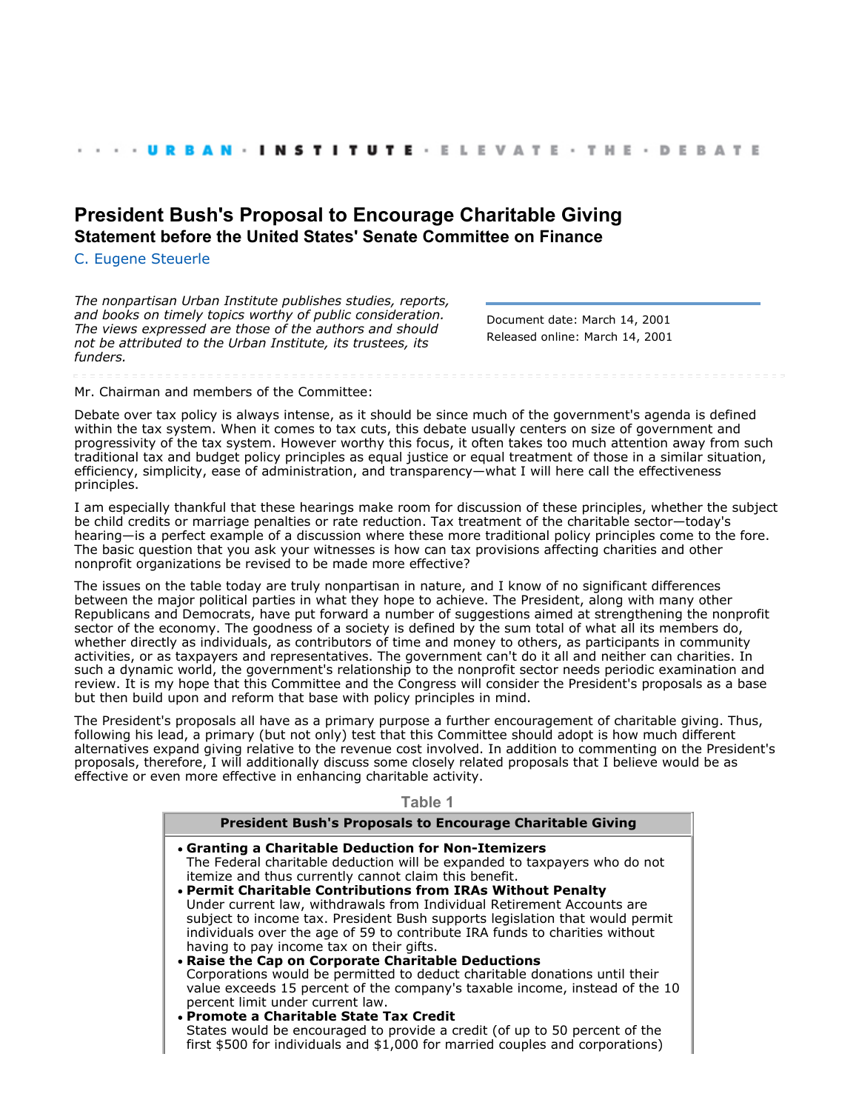# **[President Bush's Proposal to Encourage Charitable Giving](http://webarchive.urban.org/index.cfm) Statement before the United States' Senate Committee on Finance**

[C. Eugene Steuerle](http://www.urban.org/CEugeneSteuerle)

*The nonpartisan Urban Institute publishes studies, reports, and books on timely topics worthy of public consideration. The views expressed are those of the authors and should not be attributed to the Urban Institute, its trustees, its funders.*

Document date: March 14, 2001 Released online: March 14, 2001

Mr. Chairman and members of the Committee:

Debate over tax policy is always intense, as it should be since much of the government's agenda is defined within the tax system. When it comes to tax cuts, this debate usually centers on size of government and progressivity of the tax system. However worthy this focus, it often takes too much attention away from such traditional tax and budget policy principles as equal justice or equal treatment of those in a similar situation, efficiency, simplicity, ease of administration, and transparency—what I will here call the effectiveness principles.

I am especially thankful that these hearings make room for discussion of these principles, whether the subject be child credits or marriage penalties or rate reduction. Tax treatment of the charitable sector—today's hearing—is a perfect example of a discussion where these more traditional policy principles come to the fore. The basic question that you ask your witnesses is how can tax provisions affecting charities and other nonprofit organizations be revised to be made more effective?

The issues on the table today are truly nonpartisan in nature, and I know of no significant differences between the major political parties in what they hope to achieve. The President, along with many other Republicans and Democrats, have put forward a number of suggestions aimed at strengthening the nonprofit sector of the economy. The goodness of a society is defined by the sum total of what all its members do, whether directly as individuals, as contributors of time and money to others, as participants in community activities, or as taxpayers and representatives. The government can't do it all and neither can charities. In such a dynamic world, the government's relationship to the nonprofit sector needs periodic examination and review. It is my hope that this Committee and the Congress will consider the President's proposals as a base but then build upon and reform that base with policy principles in mind.

The President's proposals all have as a primary purpose a further encouragement of charitable giving. Thus, following his lead, a primary (but not only) test that this Committee should adopt is how much different alternatives expand giving relative to the revenue cost involved. In addition to commenting on the President's proposals, therefore, I will additionally discuss some closely related proposals that I believe would be as effective or even more effective in enhancing charitable activity.

**Table 1**

| <b>President Bush's Proposals to Encourage Charitable Giving</b>               |
|--------------------------------------------------------------------------------|
| • Granting a Charitable Deduction for Non-Itemizers                            |
| The Federal charitable deduction will be expanded to taxpayers who do not      |
| itemize and thus currently cannot claim this benefit.                          |
| • Permit Charitable Contributions from IRAs Without Penalty                    |
| Under current law, withdrawals from Individual Retirement Accounts are         |
| subject to income tax. President Bush supports legislation that would permit   |
| individuals over the age of 59 to contribute IRA funds to charities without    |
| having to pay income tax on their gifts.                                       |
| • Raise the Cap on Corporate Charitable Deductions                             |
| Corporations would be permitted to deduct charitable donations until their     |
| value exceeds 15 percent of the company's taxable income, instead of the 10    |
| percent limit under current law.                                               |
| • Promote a Charitable State Tax Credit                                        |
| States would be encouraged to provide a credit (of up to 50 percent of the     |
| first \$500 for individuals and $$1,000$ for married couples and corporations) |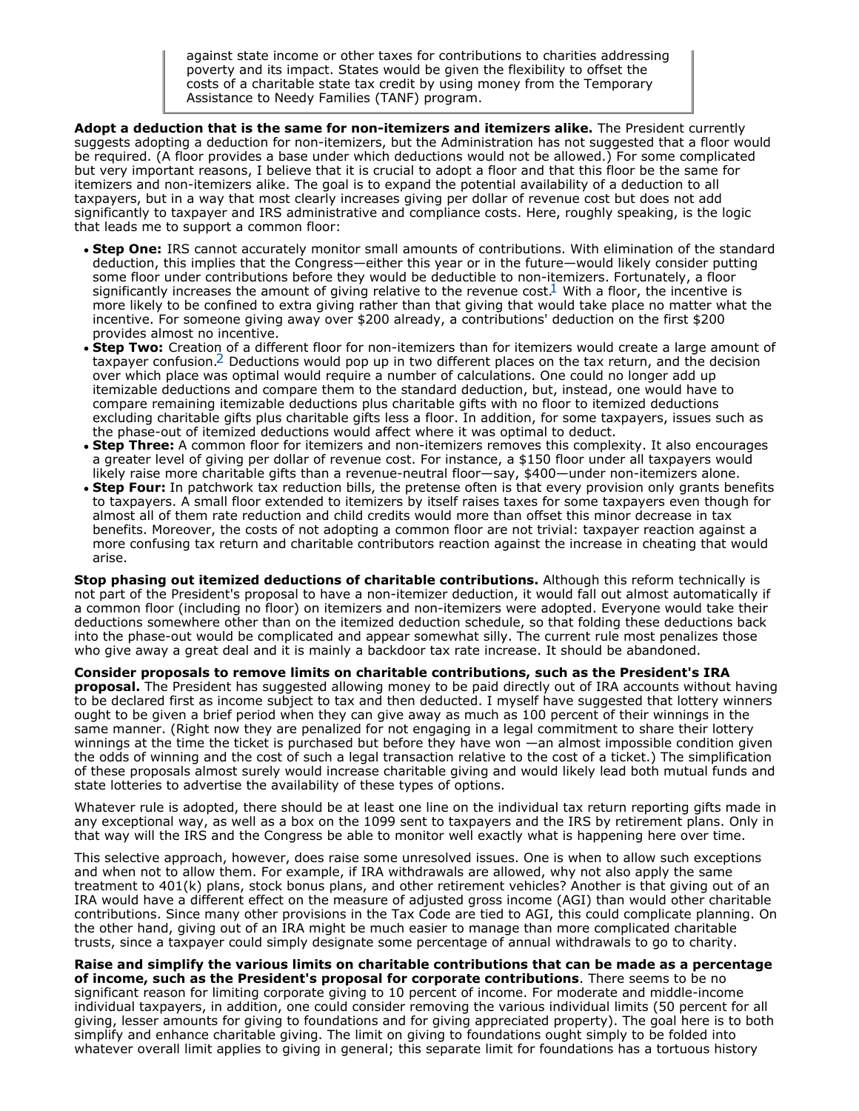against state income or other taxes for contributions to charities addressing poverty and its impact. States would be given the flexibility to offset the costs of a charitable state tax credit by using money from the Temporary Assistance to Needy Families (TANF) program.

**Adopt a deduction that is the same for non-itemizers and itemizers alike.** The President currently suggests adopting a deduction for non-itemizers, but the Administration has not suggested that a floor would be required. (A floor provides a base under which deductions would not be allowed.) For some complicated but very important reasons, I believe that it is crucial to adopt a floor and that this floor be the same for itemizers and non-itemizers alike. The goal is to expand the potential availability of a deduction to all taxpayers, but in a way that most clearly increases giving per dollar of revenue cost but does not add significantly to taxpayer and IRS administrative and compliance costs. Here, roughly speaking, is the logic that leads me to support a common floor:

- **Step One:** IRS cannot accurately monitor small amounts of contributions. With elimination of the standard deduction, this implies that the Congress—either this year or in the future—would likely consider putting some floor under contributions before they would be deductible to non-itemizers. Fortunately, a floor significantly increases the amount of giving relative to the revenue cost.<sup>1</sup> With a floor, the incentive is more likely to be confined to extra giving rather than that giving that would take place no matter what the incentive. For someone giving away over \$200 already, a contributions' deduction on the first \$200 provides almost no incentive.
- **Step Two:** Creation of a different floor for non-itemizers than for itemizers would create a large amount of taxpayer confusion[.2](#page-2-1) Deductions would pop up in two different places on the tax return, and the decision over which place was optimal would require a number of calculations. One could no longer add up itemizable deductions and compare them to the standard deduction, but, instead, one would have to compare remaining itemizable deductions plus charitable gifts with no floor to itemized deductions excluding charitable gifts plus charitable gifts less a floor. In addition, for some taxpayers, issues such as the phase-out of itemized deductions would affect where it was optimal to deduct.
- **Step Three:** A common floor for itemizers and non-itemizers removes this complexity. It also encourages a greater level of giving per dollar of revenue cost. For instance, a \$150 floor under all taxpayers would likely raise more charitable gifts than a revenue-neutral floor—say, \$400—under non-itemizers alone.
- **Step Four:** In patchwork tax reduction bills, the pretense often is that every provision only grants benefits to taxpayers. A small floor extended to itemizers by itself raises taxes for some taxpayers even though for almost all of them rate reduction and child credits would more than offset this minor decrease in tax benefits. Moreover, the costs of not adopting a common floor are not trivial: taxpayer reaction against a more confusing tax return and charitable contributors reaction against the increase in cheating that would arise.

**Stop phasing out itemized deductions of charitable contributions.** Although this reform technically is not part of the President's proposal to have a non-itemizer deduction, it would fall out almost automatically if a common floor (including no floor) on itemizers and non-itemizers were adopted. Everyone would take their deductions somewhere other than on the itemized deduction schedule, so that folding these deductions back into the phase-out would be complicated and appear somewhat silly. The current rule most penalizes those who give away a great deal and it is mainly a backdoor tax rate increase. It should be abandoned.

**Consider proposals to remove limits on charitable contributions, such as the President's IRA proposal.** The President has suggested allowing money to be paid directly out of IRA accounts without having to be declared first as income subject to tax and then deducted. I myself have suggested that lottery winners ought to be given a brief period when they can give away as much as 100 percent of their winnings in the same manner. (Right now they are penalized for not engaging in a legal commitment to share their lottery winnings at the time the ticket is purchased but before they have won —an almost impossible condition given the odds of winning and the cost of such a legal transaction relative to the cost of a ticket.) The simplification of these proposals almost surely would increase charitable giving and would likely lead both mutual funds and state lotteries to advertise the availability of these types of options.

Whatever rule is adopted, there should be at least one line on the individual tax return reporting gifts made in any exceptional way, as well as a box on the 1099 sent to taxpayers and the IRS by retirement plans. Only in that way will the IRS and the Congress be able to monitor well exactly what is happening here over time.

This selective approach, however, does raise some unresolved issues. One is when to allow such exceptions and when not to allow them. For example, if IRA withdrawals are allowed, why not also apply the same treatment to 401(k) plans, stock bonus plans, and other retirement vehicles? Another is that giving out of an IRA would have a different effect on the measure of adjusted gross income (AGI) than would other charitable contributions. Since many other provisions in the Tax Code are tied to AGI, this could complicate planning. On the other hand, giving out of an IRA might be much easier to manage than more complicated charitable trusts, since a taxpayer could simply designate some percentage of annual withdrawals to go to charity.

**Raise and simplify the various limits on charitable contributions that can be made as a percentage of income, such as the President's proposal for corporate contributions**. There seems to be no significant reason for limiting corporate giving to 10 percent of income. For moderate and middle-income individual taxpayers, in addition, one could consider removing the various individual limits (50 percent for all giving, lesser amounts for giving to foundations and for giving appreciated property). The goal here is to both simplify and enhance charitable giving. The limit on giving to foundations ought simply to be folded into whatever overall limit applies to giving in general; this separate limit for foundations has a tortuous history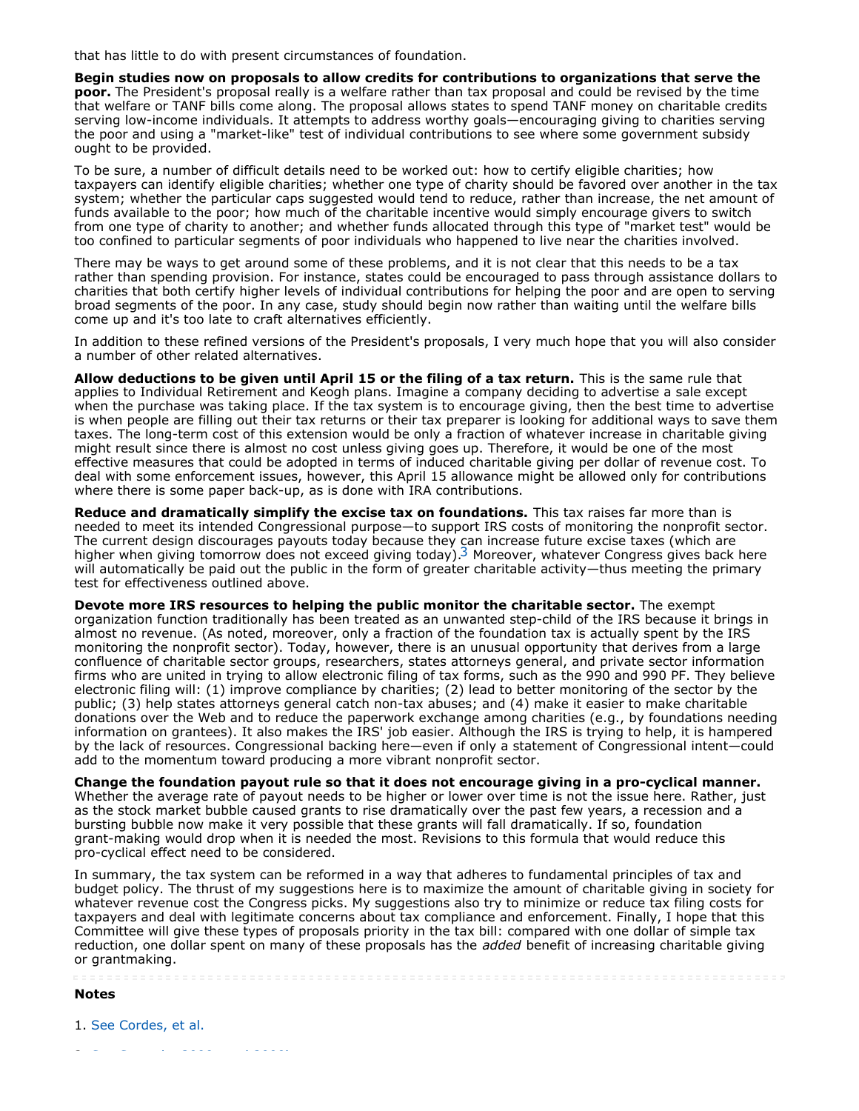that has little to do with present circumstances of foundation.

**Begin studies now on proposals to allow credits for contributions to organizations that serve the poor.** The President's proposal really is a welfare rather than tax proposal and could be revised by the time that welfare or TANF bills come along. The proposal allows states to spend TANF money on charitable credits serving low-income individuals. It attempts to address worthy goals—encouraging giving to charities serving the poor and using a "market-like" test of individual contributions to see where some government subsidy ought to be provided.

To be sure, a number of difficult details need to be worked out: how to certify eligible charities; how taxpayers can identify eligible charities; whether one type of charity should be favored over another in the tax system; whether the particular caps suggested would tend to reduce, rather than increase, the net amount of funds available to the poor; how much of the charitable incentive would simply encourage givers to switch from one type of charity to another; and whether funds allocated through this type of "market test" would be too confined to particular segments of poor individuals who happened to live near the charities involved.

There may be ways to get around some of these problems, and it is not clear that this needs to be a tax rather than spending provision. For instance, states could be encouraged to pass through assistance dollars to charities that both certify higher levels of individual contributions for helping the poor and are open to serving broad segments of the poor. In any case, study should begin now rather than waiting until the welfare bills come up and it's too late to craft alternatives efficiently.

In addition to these refined versions of the President's proposals, I very much hope that you will also consider a number of other related alternatives.

**Allow deductions to be given until April 15 or the filing of a tax return.** This is the same rule that applies to Individual Retirement and Keogh plans. Imagine a company deciding to advertise a sale except when the purchase was taking place. If the tax system is to encourage giving, then the best time to advertise is when people are filling out their tax returns or their tax preparer is looking for additional ways to save them taxes. The long-term cost of this extension would be only a fraction of whatever increase in charitable giving might result since there is almost no cost unless giving goes up. Therefore, it would be one of the most effective measures that could be adopted in terms of induced charitable giving per dollar of revenue cost. To deal with some enforcement issues, however, this April 15 allowance might be allowed only for contributions where there is some paper back-up, as is done with IRA contributions.

**Reduce and dramatically simplify the excise tax on foundations.** This tax raises far more than is needed to meet its intended Congressional purpose—to support IRS costs of monitoring the nonprofit sector. The current design discourages payouts today because they can increase future excise taxes (which are higher when giving tomorrow does not exceed giving today).<sup>3</sup> Moreover, whatever Congress gives back here will automatically be paid out the public in the form of greater charitable activity—thus meeting the primary test for effectiveness outlined above.

**Devote more IRS resources to helping the public monitor the charitable sector.** The exempt organization function traditionally has been treated as an unwanted step-child of the IRS because it brings in almost no revenue. (As noted, moreover, only a fraction of the foundation tax is actually spent by the IRS monitoring the nonprofit sector). Today, however, there is an unusual opportunity that derives from a large confluence of charitable sector groups, researchers, states attorneys general, and private sector information firms who are united in trying to allow electronic filing of tax forms, such as the 990 and 990 PF. They believe electronic filing will: (1) improve compliance by charities; (2) lead to better monitoring of the sector by the public; (3) help states attorneys general catch non-tax abuses; and (4) make it easier to make charitable donations over the Web and to reduce the paperwork exchange among charities (e.g., by foundations needing information on grantees). It also makes the IRS' job easier. Although the IRS is trying to help, it is hampered by the lack of resources. Congressional backing here—even if only a statement of Congressional intent—could add to the momentum toward producing a more vibrant nonprofit sector.

**Change the foundation payout rule so that it does not encourage giving in a pro-cyclical manner.** Whether the average rate of payout needs to be higher or lower over time is not the issue here. Rather, just as the stock market bubble caused grants to rise dramatically over the past few years, a recession and a bursting bubble now make it very possible that these grants will fall dramatically. If so, foundation grant-making would drop when it is needed the most. Revisions to this formula that would reduce this pro-cyclical effect need to be considered.

In summary, the tax system can be reformed in a way that adheres to fundamental principles of tax and budget policy. The thrust of my suggestions here is to maximize the amount of charitable giving in society for whatever revenue cost the Congress picks. My suggestions also try to minimize or reduce tax filing costs for taxpayers and deal with legitimate concerns about tax compliance and enforcement. Finally, I hope that this Committee will give these types of proposals priority in the tax bill: compared with one dollar of simple tax reduction, one dollar spent on many of these proposals has the *added* benefit of increasing charitable giving or grantmaking.

**Notes**

<span id="page-2-1"></span><span id="page-2-0"></span>1. See Cordes, et al.